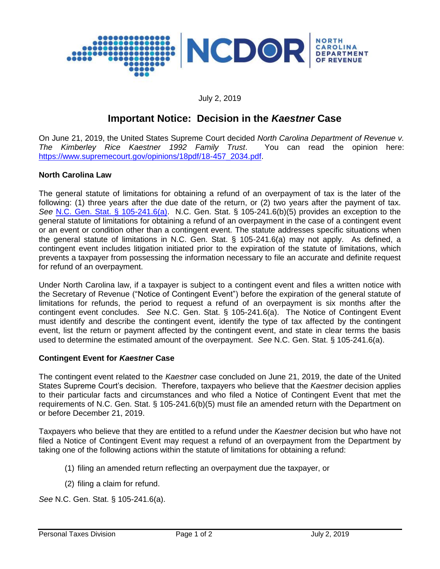

#### July 2, 2019

# **Important Notice: Decision in the** *Kaestner* **Case**

On June 21, 2019, the United States Supreme Court decided *North Carolina Department of Revenue v. The Kimberley Rice Kaestner 1992 Family Trust*. You can read the opinion here: [https://www.supremecourt.gov/opinions/18pdf/18-457\\_2034.pdf.](https://www.supremecourt.gov/opinions/18pdf/18-457_2034.pdf)

#### **North Carolina Law**

The general statute of limitations for obtaining a refund of an overpayment of tax is the later of the following: (1) three years after the due date of the return, or (2) two years after the payment of tax. *See* [N.C. Gen. Stat. § 105-241.6\(a\).](https://www.ncleg.gov/EnactedLegislation/Statutes/HTML/BySection/Chapter_105/GS_105-241.6.html) N.C. Gen. Stat. § 105-241.6(b)(5) provides an exception to the general statute of limitations for obtaining a refund of an overpayment in the case of a contingent event or an event or condition other than a contingent event. The statute addresses specific situations when the general statute of limitations in N.C. Gen. Stat. § 105-241.6(a) may not apply. As defined, a contingent event includes litigation initiated prior to the expiration of the statute of limitations, which prevents a taxpayer from possessing the information necessary to file an accurate and definite request for refund of an overpayment.

Under North Carolina law, if a taxpayer is subject to a contingent event and files a written notice with the Secretary of Revenue ("Notice of Contingent Event") before the expiration of the general statute of limitations for refunds, the period to request a refund of an overpayment is six months after the contingent event concludes. *See* N.C. Gen. Stat. § 105-241.6(a). The Notice of Contingent Event must identify and describe the contingent event, identify the type of tax affected by the contingent event, list the return or payment affected by the contingent event, and state in clear terms the basis used to determine the estimated amount of the overpayment. *See* N.C. Gen. Stat. § 105-241.6(a).

## **Contingent Event for** *Kaestne***r Case**

The contingent event related to the *Kaestner* case concluded on June 21, 2019, the date of the United States Supreme Court's decision. Therefore, taxpayers who believe that the *Kaestner* decision applies to their particular facts and circumstances and who filed a Notice of Contingent Event that met the requirements of N.C. Gen. Stat. § 105-241.6(b)(5) must file an amended return with the Department on or before December 21, 2019.

Taxpayers who believe that they are entitled to a refund under the *Kaestner* decision but who have not filed a Notice of Contingent Event may request a refund of an overpayment from the Department by taking one of the following actions within the statute of limitations for obtaining a refund:

- (1) filing an amended return reflecting an overpayment due the taxpayer, or
- (2) filing a claim for refund.

*See* N.C. Gen. Stat. § 105-241.6(a).